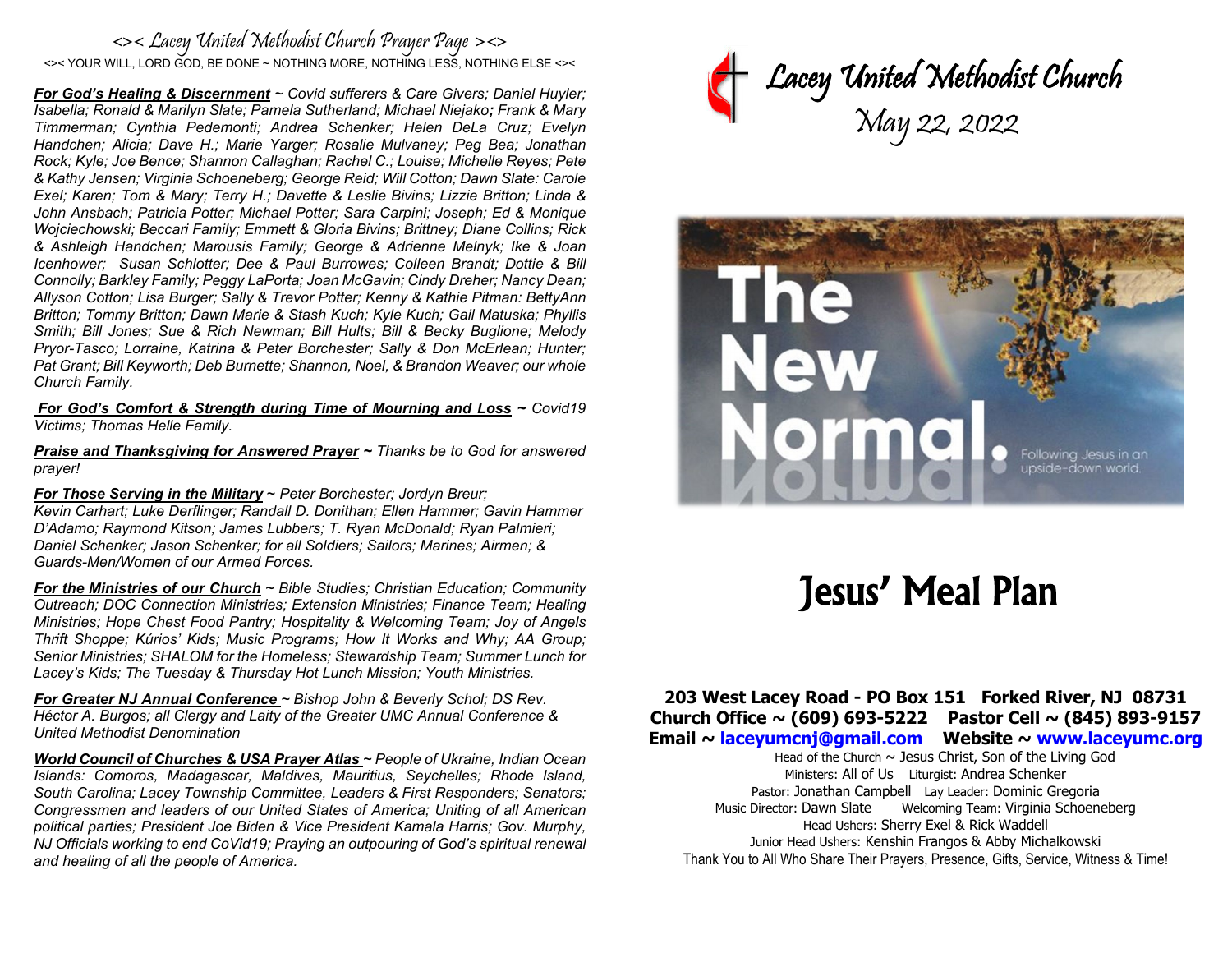#### <>< Lacey United Methodist Church Prayer Page ><> <>< YOUR WILL, LORD GOD, BE DONE ~ NOTHING MORE, NOTHING LESS, NOTHING ELSE <><

*For God's Healing & Discernment ~ Covid sufferers & Care Givers; Daniel Huyler; Isabella; Ronald & Marilyn Slate; Pamela Sutherland; Michael Niejako; Frank & Mary Timmerman; Cynthia Pedemonti; Andrea Schenker; Helen DeLa Cruz; Evelyn Handchen; Alicia; Dave H.; Marie Yarger; Rosalie Mulvaney; Peg Bea; Jonathan Rock; Kyle; Joe Bence; Shannon Callaghan; Rachel C.; Louise; Michelle Reyes; Pete & Kathy Jensen; Virginia Schoeneberg; George Reid; Will Cotton; Dawn Slate: Carole Exel; Karen; Tom & Mary; Terry H.; Davette & Leslie Bivins; Lizzie Britton; Linda & John Ansbach; Patricia Potter; Michael Potter; Sara Carpini; Joseph; Ed & Monique Wojciechowski; Beccari Family; Emmett & Gloria Bivins; Brittney; Diane Collins; Rick & Ashleigh Handchen; Marousis Family; George & Adrienne Melnyk; Ike & Joan Icenhower; Susan Schlotter; Dee & Paul Burrowes; Colleen Brandt; Dottie & Bill Connolly; Barkley Family; Peggy LaPorta; Joan McGavin; Cindy Dreher; Nancy Dean; Allyson Cotton; Lisa Burger; Sally & Trevor Potter; Kenny & Kathie Pitman: BettyAnn Britton; Tommy Britton; Dawn Marie & Stash Kuch; Kyle Kuch; Gail Matuska; Phyllis Smith; Bill Jones; Sue & Rich Newman; Bill Hults; Bill & Becky Buglione; Melody Pryor-Tasco; Lorraine, Katrina & Peter Borchester; Sally & Don McErlean; Hunter; Pat Grant; Bill Keyworth; Deb Burnette; Shannon, Noel, & Brandon Weaver; our whole Church Family.* 

*For God's Comfort & Strength during Time of Mourning and Loss ~ Covid19 Victims; Thomas Helle Family.* 

*Praise and Thanksgiving for Answered Prayer ~ Thanks be to God for answered prayer!* 

*For Those Serving in the Military* ~ *Peter Borchester; Jordyn Breur;*

*Kevin Carhart; Luke Derflinger; Randall D. Donithan; Ellen Hammer; Gavin Hammer D'Adamo; Raymond Kitson; James Lubbers; T. Ryan McDonald; Ryan Palmieri; Daniel Schenker; Jason Schenker; for all Soldiers; Sailors; Marines; Airmen; & Guards-Men/Women of our Armed Forces.*

*For the Ministries of our Church ~ Bible Studies; Christian Education; Community Outreach; DOC Connection Ministries; Extension Ministries; Finance Team; Healing Ministries; Hope Chest Food Pantry; Hospitality & Welcoming Team; Joy of Angels Thrift Shoppe; Kúrios' Kids; Music Programs; How It Works and Why; AA Group; Senior Ministries; SHALOM for the Homeless; Stewardship Team; Summer Lunch for Lacey's Kids; The Tuesday & Thursday Hot Lunch Mission; Youth Ministries.* 

*For Greater NJ Annual Conference ~ Bishop John & Beverly Schol; DS Rev. Héctor A. Burgos; all Clergy and Laity of the Greater UMC Annual Conference & United Methodist Denomination* 

*World Council of Churches & USA Prayer Atlas ~ People of Ukraine, Indian Ocean Islands: Comoros, Madagascar, Maldives, Mauritius, Seychelles; Rhode Island, South Carolina; Lacey Township Committee, Leaders & First Responders; Senators; Congressmen and leaders of our United States of America; Uniting of all American political parties; President Joe Biden & Vice President Kamala Harris; Gov. Murphy, NJ Officials working to end CoVid19; Praying an outpouring of God's spiritual renewal and healing of all the people of America.*





# Jesus' Meal Plan

#### **203 West Lacey Road - PO Box 151 Forked River, NJ 08731 Church Office ~ (609) 693-5222 Pastor Cell ~ (845) 893-9157 Email ~ [laceyumcnj@g](mailto:laceyumcnj@)mail.com Website ~ [www.laceyumc.org](http://www.laceyumc.org/)**

Head of the Church  $\sim$  Jesus Christ, Son of the Living God Ministers: All of Us Liturgist: Andrea Schenker Pastor: Jonathan Campbell Lay Leader: Dominic Gregoria Music Director: Dawn Slate Welcoming Team: Virginia Schoeneberg Head Ushers: Sherry Exel & Rick Waddell Junior Head Ushers: Kenshin Frangos & Abby Michalkowski Thank You to All Who Share Their Prayers, Presence, Gifts, Service, Witness & Time!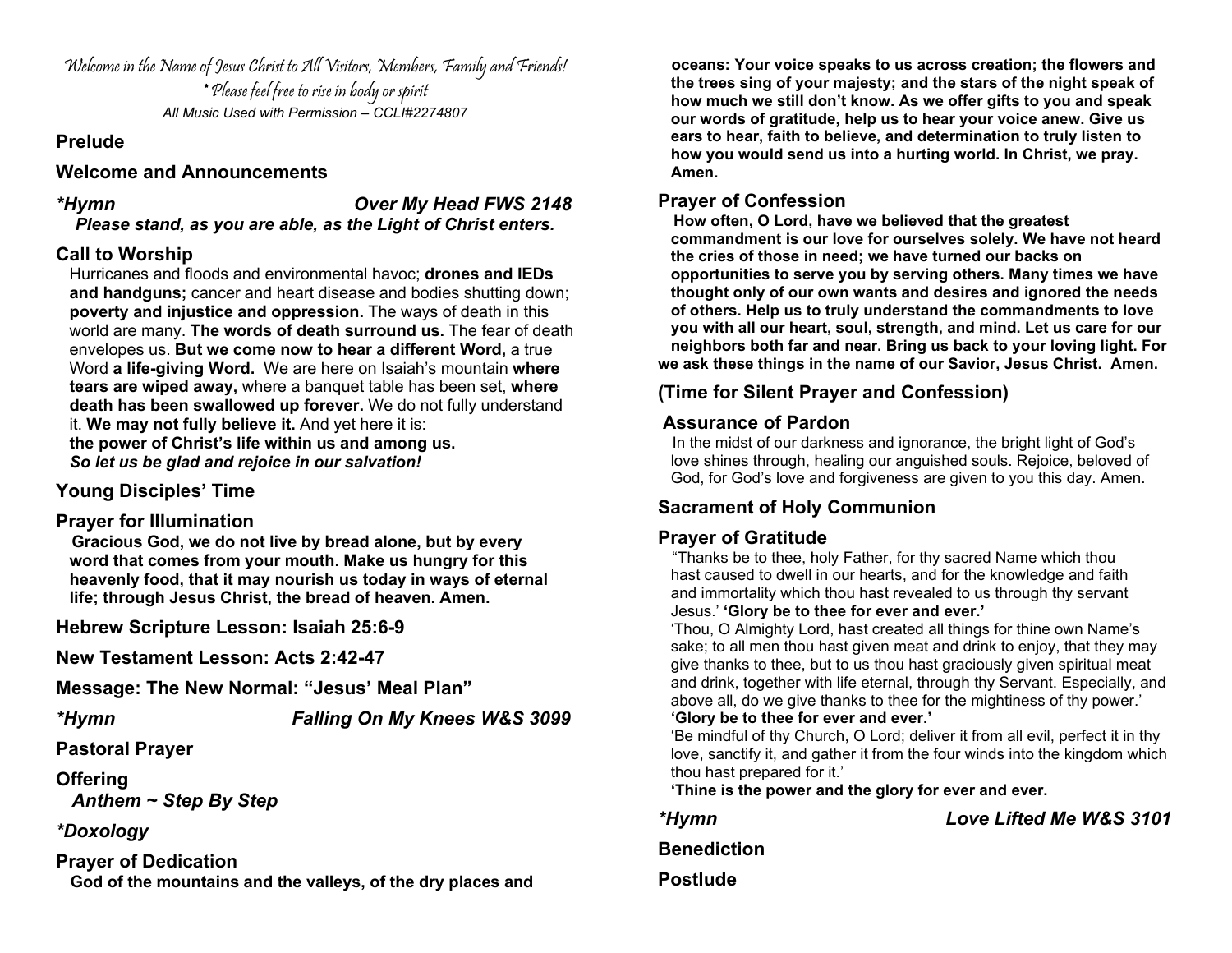Welcome in the Name of Jesus Christ to All Visitors, Members, Family and Friends! \* Please feel free to rise in body or spirit *All Music Used with Permission – CCLI#2274807*

#### **Prelude**

#### **Welcome and Announcements**

*\*Hymn Over My Head FWS 2148* 

*Please stand, as you are able, as the Light of Christ enters.* 

#### **Call to Worship**

Hurricanes and floods and environmental havoc; **drones and IEDs and handguns;** cancer and heart disease and bodies shutting down; **poverty and injustice and oppression.** The ways of death in this world are many. **The words of death surround us.** The fear of death envelopes us. **But we come now to hear a different Word,** a true Word **a life-giving Word.** We are here on Isaiah's mountain **where tears are wiped away,** where a banquet table has been set, **where death has been swallowed up forever.** We do not fully understand it. **We may not fully believe it.** And yet here it is: **the power of Christ's life within us and among us.** *So let us be glad and rejoice in our salvation!*

### **Young Disciples' Time**

#### **Prayer for Illumination**

 **Gracious God, we do not live by bread alone, but by every word that comes from your mouth. Make us hungry for this heavenly food, that it may nourish us today in ways of eternal life; through Jesus Christ, the bread of heaven. Amen.**

**Hebrew Scripture Lesson: Isaiah 25:6-9** 

**New Testament Lesson: Acts 2:42-47**

**Message: The New Normal: "Jesus' Meal Plan"** 

*\*Hymn Falling On My Knees W&S 3099* 

**Pastoral Prayer**

**Offering** 

*Anthem ~ Step By Step* 

*\*Doxology*

**Prayer of Dedication God of the mountains and the valleys, of the dry places and** 

 **oceans: Your voice speaks to us across creation; the flowers and the trees sing of your majesty; and the stars of the night speak of how much we still don't know. As we offer gifts to you and speak our words of gratitude, help us to hear your voice anew. Give us ears to hear, faith to believe, and determination to truly listen to how you would send us into a hurting world. In Christ, we pray. Amen.**

**Prayer of Confession**<br>How often, O Lord, have we believed that the greatest  **commandment is our love for ourselves solely. We have not heard the cries of those in need; we have turned our backs on opportunities to serve you by serving others. Many times we have thought only of our own wants and desires and ignored the needs of others. Help us to truly understand the commandments to love you with all our heart, soul, strength, and mind. Let us care for our neighbors both far and near. Bring us back to your loving light. For we ask these things in the name of our Savior, Jesus Christ. Amen.**

#### **(Time for Silent Prayer and Confession)**

**Assurance of Pardon**<br>In the midst of our darkness and ignorance, the bright light of God's love shines through, healing our anguished souls. Rejoice, beloved of God, for God's love and forgiveness are given to you this day. Amen.

### **Sacrament of Holy Communion**

### **Prayer of Gratitude**

 "Thanks be to thee, holy Father, for thy sacred Name which thou hast caused to dwell in our hearts, and for the knowledge and faith and immortality which thou hast revealed to us through thy servant Jesus.' **'Glory be to thee for ever and ever.'**

 'Thou, O Almighty Lord, hast created all things for thine own Name's sake; to all men thou hast given meat and drink to enjoy, that they may give thanks to thee, but to us thou hast graciously given spiritual meat and drink, together with life eternal, through thy Servant. Especially, and above all, do we give thanks to thee for the mightiness of thy power.' **'Glory be to thee for ever and ever.'**

#### 'Be mindful of thy Church, O Lord; deliver it from all evil, perfect it in thy love, sanctify it, and gather it from the four winds into the kingdom which thou hast prepared for it.'

**'Thine is the power and the glory for ever and ever.**

*\*Hymn Love Lifted Me W&S 3101* 

**Benediction Postlude**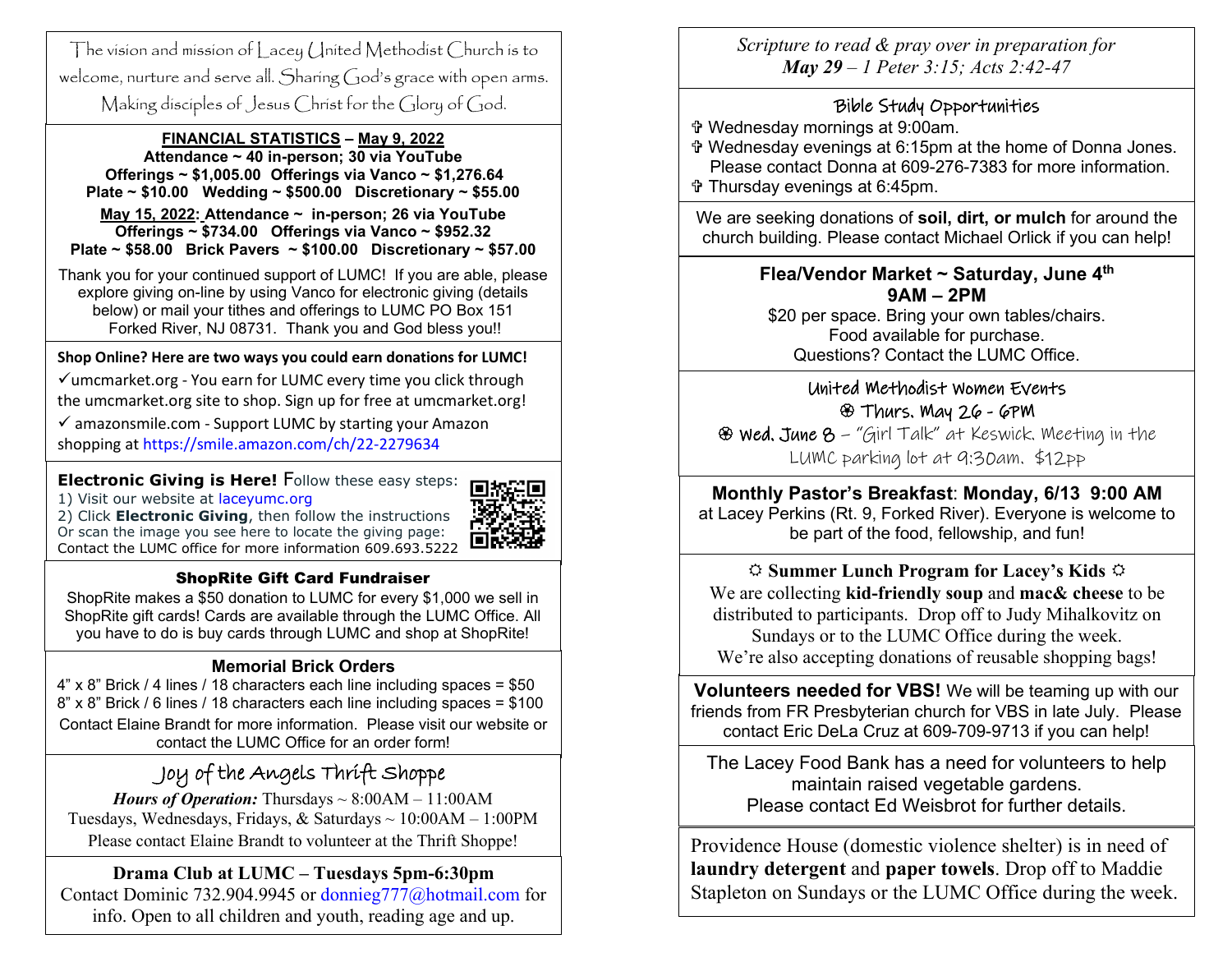welcome, nurture and serve all. Sharing God's grace with open arms. The vision and mission of Lacey United Methodist Church is to Making disciples of Jesus Christ for the Glory of God.

#### **FINANCIAL STATISTICS – May 9, 2022**

 **May 15, 2022: Attendance ~ in-person; 26 via YouTube Attendance ~ 40 in-person; 30 via YouTube Offerings ~ \$1,005.00 Offerings via Vanco ~ \$1,276.64 Plate ~ \$10.00 Wedding ~ \$500.00 Discretionary ~ \$55.00 Offerings ~ \$734.00 Offerings via Vanco ~ \$952.32 Plate ~ \$58.00 Brick Pavers ~ \$100.00 Discretionary ~ \$57.00** 

Thank you for your continued support of LUMC! If you are able, please explore giving on-line by using Vanco for electronic giving (details below) or mail your tithes and offerings to LUMC PO Box 151 Forked River, NJ 08731. Thank you and God bless you!!

#### **Shop Online? Here are two ways you could earn donations for LUMC!**

 $\checkmark$  umcmarket.org - You earn for LUMC every time you click through the umcmarket.org site to shop. Sign up for free at umcmarket.org!

 $\checkmark$  amazonsmile.com - Support LUMC by starting your Amazon shopping at<https://smile.amazon.com/ch/22-2279634>

**Electronic Giving is Here!** [F](https://www.laceyumc.org/)ollow these easy steps:<br>1) Visit our website at [laceyumc.org](https://www.laceyumc.org/)

2) Click **Electronic Giving**, then follow the instructions Or scan the image you see here to locate the giving page: Contact the LUMC office for more information 609.693.5222



#### ShopRite Gift Card Fundraiser

ShopRite makes a \$50 donation to LUMC for every \$1,000 we sell in ShopRite gift cards! Cards are available through the LUMC Office. All you have to do is buy cards through LUMC and shop at ShopRite!

#### **Memorial Brick Orders**

4" x 8" Brick / 4 lines / 18 characters each line including spaces = \$50 8" x 8" Brick / 6 lines / 18 characters each line including spaces = \$100 Contact Elaine Brandt for more information. Please visit our website or contact the LUMC Office for an order form!

## Joy of the Angels Thrift Shoppe

*Hours of Operation:* Thursdays  $\sim 8:00AM - 11:00AM$ Tuesdays, Wednesdays, Fridays, & Saturdays ~ 10:00AM – 1:00PM Please contact Elaine Brandt to volunteer at the Thrift Shoppe!

### **Drama Club at LUMC – Tuesdays 5pm-6:30pm**

Contact Dominic 732.904.9945 or [donnieg777@hotmail.com](mailto:donnieg777@hotmail.com) for info. Open to all children and youth, reading age and up.

*Scripture to read & pray over in preparation for May 29 – 1 Peter 3:15; Acts 2:42-47*

#### Bible Study Opportunities

- Wednesday mornings at 9:00am.
- Wednesday evenings at 6:15pm at the home of Donna Jones. Please contact Donna at 609-276-7383 for more information.
- Thursday evenings at 6:45pm.

We are seeking donations of **soil, dirt, or mulch** for around the church building. Please contact Michael Orlick if you can help!

#### **Flea/Vendor Market ~ Saturday, June 4th 9AM – 2PM**

\$20 per space. Bring your own tables/chairs. Food available for purchase. Questions? Contact the LUMC Office.

### United Methodist Women Events Thurs. May 26 - 6PM

 Wed. June 8 – "Girl Talk" at Keswick. Meeting in the LUMC parking lot at 9:30am. \$12pp

### **Monthly Pastor's Breakfast**: **Monday, 6/13 9:00 AM**

at Lacey Perkins (Rt. 9, Forked River). Everyone is welcome to be part of the food, fellowship, and fun!

 **Summer Lunch Program for Lacey's Kids**  We are collecting **kid-friendly soup** and **mac& cheese** to be distributed to participants. Drop off to Judy Mihalkovitz on Sundays or to the LUMC Office during the week. We're also accepting donations of reusable shopping bags!

**Volunteers needed for VBS!** We will be teaming up with our friends from FR Presbyterian church for VBS in late July. Please contact Eric DeLa Cruz at 609-709-9713 if you can help!

The Lacey Food Bank has a need for volunteers to help maintain raised vegetable gardens. Please contact Ed Weisbrot for further details.

Providence House (domestic violence shelter) is in need of **laundry detergent** and **paper towels**. Drop off to Maddie Stapleton on Sundays or the LUMC Office during the week.